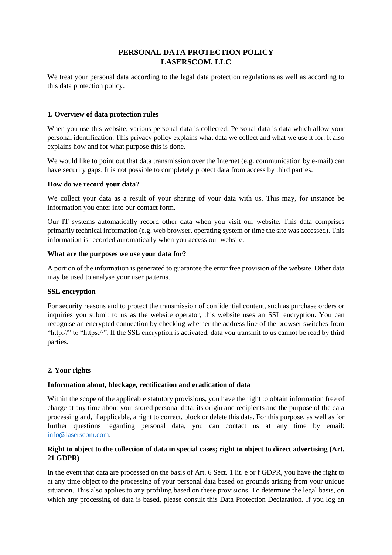# **PERSONAL DATA PROTECTION POLICY LASERSCOM, LLC**

We treat your personal data according to the legal data protection regulations as well as according to this data protection policy.

# **1. Overview of data protection rules**

When you use this website, various personal data is collected. Personal data is data which allow your personal identification. This privacy policy explains what data we collect and what we use it for. It also explains how and for what purpose this is done.

We would like to point out that data transmission over the Internet (e.g. communication by e-mail) can have security gaps. It is not possible to completely protect data from access by third parties.

### **How do we record your data?**

We collect your data as a result of your sharing of your data with us. This may, for instance be information you enter into our contact form.

Our IT systems automatically record other data when you visit our website. This data comprises primarily technical information (e.g. web browser, operating system or time the site was accessed). This information is recorded automatically when you access our website.

## **What are the purposes we use your data for?**

A portion of the information is generated to guarantee the error free provision of the website. Other data may be used to analyse your user patterns.

### **SSL encryption**

For security reasons and to protect the transmission of confidential content, such as purchase orders or inquiries you submit to us as the website operator, this website uses an SSL encryption. You can recognise an encrypted connection by checking whether the address line of the browser switches from "http://" to "https://". If the SSL encryption is activated, data you transmit to us cannot be read by third parties.

# **2. Your rights**

### **Information about, blockage, rectification and eradication of data**

Within the scope of the applicable statutory provisions, you have the right to obtain information free of charge at any time about your stored personal data, its origin and recipients and the purpose of the data processing and, if applicable, a right to correct, block or delete this data. For this purpose, as well as for further questions regarding personal data, you can contact us at any time by email: [info@laserscom.com.](mailto:info@laserscom.com)

# **Right to object to the collection of data in special cases; right to object to direct advertising (Art. 21 GDPR)**

In the event that data are processed on the basis of Art. 6 Sect. 1 lit. e or f GDPR, you have the right to at any time object to the processing of your personal data based on grounds arising from your unique situation. This also applies to any profiling based on these provisions. To determine the legal basis, on which any processing of data is based, please consult this Data Protection Declaration. If you log an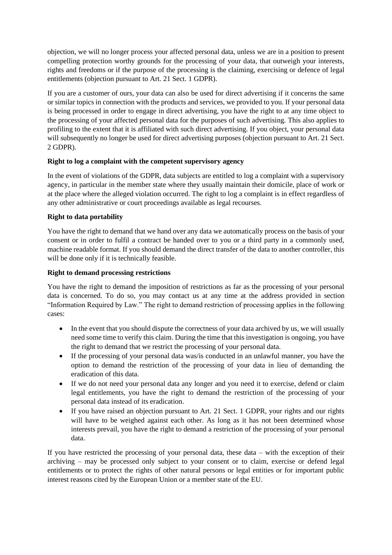objection, we will no longer process your affected personal data, unless we are in a position to present compelling protection worthy grounds for the processing of your data, that outweigh your interests, rights and freedoms or if the purpose of the processing is the claiming, exercising or defence of legal entitlements (objection pursuant to Art. 21 Sect. 1 GDPR).

If you are a customer of ours, your data can also be used for direct advertising if it concerns the same or similar topics in connection with the products and services, we provided to you. If your personal data is being processed in order to engage in direct advertising, you have the right to at any time object to the processing of your affected personal data for the purposes of such advertising. This also applies to profiling to the extent that it is affiliated with such direct advertising. If you object, your personal data will subsequently no longer be used for direct advertising purposes (objection pursuant to Art. 21 Sect. 2 GDPR).

# **Right to log a complaint with the competent supervisory agency**

In the event of violations of the GDPR, data subjects are entitled to log a complaint with a supervisory agency, in particular in the member state where they usually maintain their domicile, place of work or at the place where the alleged violation occurred. The right to log a complaint is in effect regardless of any other administrative or court proceedings available as legal recourses.

# **Right to data portability**

You have the right to demand that we hand over any data we automatically process on the basis of your consent or in order to fulfil a contract be handed over to you or a third party in a commonly used, machine readable format. If you should demand the direct transfer of the data to another controller, this will be done only if it is technically feasible.

# **Right to demand processing restrictions**

You have the right to demand the imposition of restrictions as far as the processing of your personal data is concerned. To do so, you may contact us at any time at the address provided in section "Information Required by Law." The right to demand restriction of processing applies in the following cases:

- In the event that you should dispute the correctness of your data archived by us, we will usually need some time to verify this claim. During the time that this investigation is ongoing, you have the right to demand that we restrict the processing of your personal data.
- If the processing of your personal data was/is conducted in an unlawful manner, you have the option to demand the restriction of the processing of your data in lieu of demanding the eradication of this data.
- If we do not need your personal data any longer and you need it to exercise, defend or claim legal entitlements, you have the right to demand the restriction of the processing of your personal data instead of its eradication.
- If you have raised an objection pursuant to Art. 21 Sect. 1 GDPR, your rights and our rights will have to be weighed against each other. As long as it has not been determined whose interests prevail, you have the right to demand a restriction of the processing of your personal data.

If you have restricted the processing of your personal data, these data – with the exception of their archiving – may be processed only subject to your consent or to claim, exercise or defend legal entitlements or to protect the rights of other natural persons or legal entities or for important public interest reasons cited by the European Union or a member state of the EU.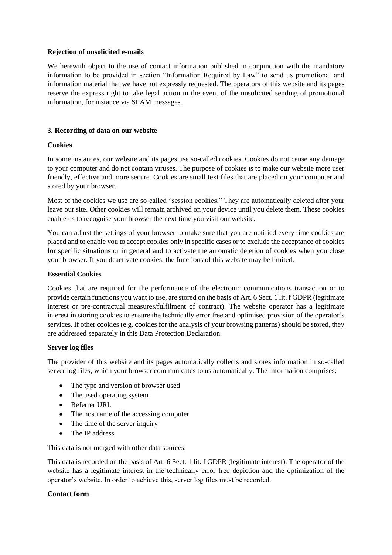### **Rejection of unsolicited e-mails**

We herewith object to the use of contact information published in conjunction with the mandatory information to be provided in section "Information Required by Law" to send us promotional and information material that we have not expressly requested. The operators of this website and its pages reserve the express right to take legal action in the event of the unsolicited sending of promotional information, for instance via SPAM messages.

# **3. Recording of data on our website**

# **Cookies**

In some instances, our website and its pages use so-called cookies. Cookies do not cause any damage to your computer and do not contain viruses. The purpose of cookies is to make our website more user friendly, effective and more secure. Cookies are small text files that are placed on your computer and stored by your browser.

Most of the cookies we use are so-called "session cookies." They are automatically deleted after your leave our site. Other cookies will remain archived on your device until you delete them. These cookies enable us to recognise your browser the next time you visit our website.

You can adjust the settings of your browser to make sure that you are notified every time cookies are placed and to enable you to accept cookies only in specific cases or to exclude the acceptance of cookies for specific situations or in general and to activate the automatic deletion of cookies when you close your browser. If you deactivate cookies, the functions of this website may be limited.

## **Essential Cookies**

Cookies that are required for the performance of the electronic communications transaction or to provide certain functions you want to use, are stored on the basis of Art. 6 Sect. 1 lit. f GDPR (legitimate interest or pre-contractual measures/fulfilment of contract). The website operator has a legitimate interest in storing cookies to ensure the technically error free and optimised provision of the operator's services. If other cookies (e.g. cookies for the analysis of your browsing patterns) should be stored, they are addressed separately in this Data Protection Declaration.

### **Server log files**

The provider of this website and its pages automatically collects and stores information in so-called server log files, which your browser communicates to us automatically. The information comprises:

- The type and version of browser used
- The used operating system
- Referrer URL
- The hostname of the accessing computer
- The time of the server inquiry
- The IP address

This data is not merged with other data sources.

This data is recorded on the basis of Art. 6 Sect. 1 lit. f GDPR (legitimate interest). The operator of the website has a legitimate interest in the technically error free depiction and the optimization of the operator's website. In order to achieve this, server log files must be recorded.

### **Contact form**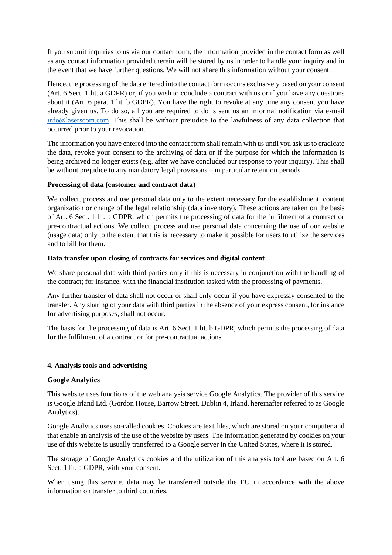If you submit inquiries to us via our contact form, the information provided in the contact form as well as any contact information provided therein will be stored by us in order to handle your inquiry and in the event that we have further questions. We will not share this information without your consent.

Hence, the processing of the data entered into the contact form occurs exclusively based on your consent (Art. 6 Sect. 1 lit. a GDPR) or, if you wish to conclude a contract with us or if you have any questions about it (Art. 6 para. 1 lit. b GDPR). You have the right to revoke at any time any consent you have already given us. To do so, all you are required to do is sent us an informal notification via e-mail [info@laserscom.com.](mailto:info@laserscom.com) This shall be without prejudice to the lawfulness of any data collection that occurred prior to your revocation.

The information you have entered into the contact form shall remain with us until you ask us to eradicate the data, revoke your consent to the archiving of data or if the purpose for which the information is being archived no longer exists (e.g. after we have concluded our response to your inquiry). This shall be without prejudice to any mandatory legal provisions – in particular retention periods.

## **Processing of data (customer and contract data)**

We collect, process and use personal data only to the extent necessary for the establishment, content organization or change of the legal relationship (data inventory). These actions are taken on the basis of Art. 6 Sect. 1 lit. b GDPR, which permits the processing of data for the fulfilment of a contract or pre-contractual actions. We collect, process and use personal data concerning the use of our website (usage data) only to the extent that this is necessary to make it possible for users to utilize the services and to bill for them.

## **Data transfer upon closing of contracts for services and digital content**

We share personal data with third parties only if this is necessary in conjunction with the handling of the contract; for instance, with the financial institution tasked with the processing of payments.

Any further transfer of data shall not occur or shall only occur if you have expressly consented to the transfer. Any sharing of your data with third parties in the absence of your express consent, for instance for advertising purposes, shall not occur.

The basis for the processing of data is Art. 6 Sect. 1 lit. b GDPR, which permits the processing of data for the fulfilment of a contract or for pre-contractual actions.

### **4. Analysis tools and advertising**

### **Google Analytics**

This website uses functions of the web analysis service Google Analytics. The provider of this service is Google Irland Ltd. (Gordon House, Barrow Street, Dublin 4, Irland, hereinafter referred to as Google Analytics).

Google Analytics uses so-called cookies. Cookies are text files, which are stored on your computer and that enable an analysis of the use of the website by users. The information generated by cookies on your use of this website is usually transferred to a Google server in the United States, where it is stored.

The storage of Google Analytics cookies and the utilization of this analysis tool are based on Art. 6 Sect. 1 lit. a GDPR, with your consent.

When using this service, data may be transferred outside the EU in accordance with the above information on transfer to third countries.